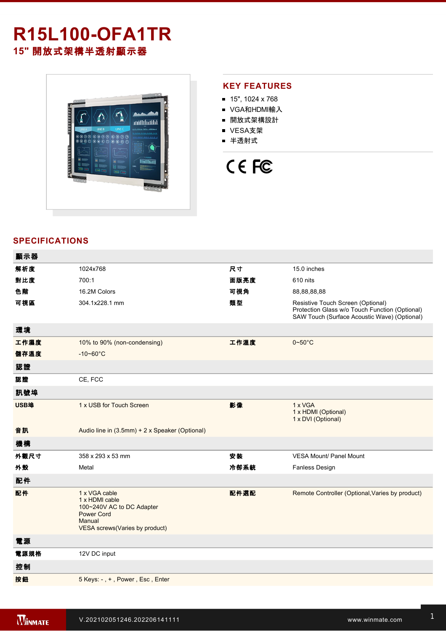# **R15L100-OFA1TR 15"** 開放式架構半透射顯示器



## **KEY FEATURES**

- $15"$ , 1024 x 768
- VGA和HDMI輸入
- 開放式架構設計
- VESA支架
- 半透射式

# CE FC

# **SPECIFICATIONS**

| 顯示器  |                                                                                                                               |      |                                                                                                                                     |
|------|-------------------------------------------------------------------------------------------------------------------------------|------|-------------------------------------------------------------------------------------------------------------------------------------|
| 解析度  | 1024x768                                                                                                                      | 尺寸   | 15.0 inches                                                                                                                         |
| 對比度  | 700:1                                                                                                                         | 面版亮度 | 610 nits                                                                                                                            |
| 色階   | 16.2M Colors                                                                                                                  | 可視角  | 88,88,88,88                                                                                                                         |
| 可視區  | 304.1x228.1 mm                                                                                                                | 類型   | Resistive Touch Screen (Optional)<br>Protection Glass w/o Touch Function (Optional)<br>SAW Touch (Surface Acoustic Wave) (Optional) |
| 環境   |                                                                                                                               |      |                                                                                                                                     |
| 工作濕度 | 10% to 90% (non-condensing)                                                                                                   | 工作溫度 | $0 - 50$ °C                                                                                                                         |
| 儲存溫度 | $-10 - 60^{\circ}C$                                                                                                           |      |                                                                                                                                     |
| 認證   |                                                                                                                               |      |                                                                                                                                     |
| 認證   | CE, FCC                                                                                                                       |      |                                                                                                                                     |
| 訊號埠  |                                                                                                                               |      |                                                                                                                                     |
| USB埠 | 1 x USB for Touch Screen                                                                                                      | 影像   | 1 x VGA<br>1 x HDMI (Optional)<br>1 x DVI (Optional)                                                                                |
| 音訊   | Audio line in (3.5mm) + 2 x Speaker (Optional)                                                                                |      |                                                                                                                                     |
| 機構   |                                                                                                                               |      |                                                                                                                                     |
| 外觀尺寸 | 358 x 293 x 53 mm                                                                                                             | 安装   | <b>VESA Mount/ Panel Mount</b>                                                                                                      |
| 外殼   | Metal                                                                                                                         | 冷卻系統 | Fanless Design                                                                                                                      |
| 配件   |                                                                                                                               |      |                                                                                                                                     |
| 配件   | 1 x VGA cable<br>1 x HDMI cable<br>100~240V AC to DC Adapter<br><b>Power Cord</b><br>Manual<br>VESA screws(Varies by product) | 配件選配 | Remote Controller (Optional, Varies by product)                                                                                     |
| 電源   |                                                                                                                               |      |                                                                                                                                     |
| 電源規格 | 12V DC input                                                                                                                  |      |                                                                                                                                     |
| 控制   |                                                                                                                               |      |                                                                                                                                     |
| 按鈕   | 5 Keys: -, +, Power, Esc, Enter                                                                                               |      |                                                                                                                                     |
|      |                                                                                                                               |      |                                                                                                                                     |

**DIMENSIONS**  UNIT:MM